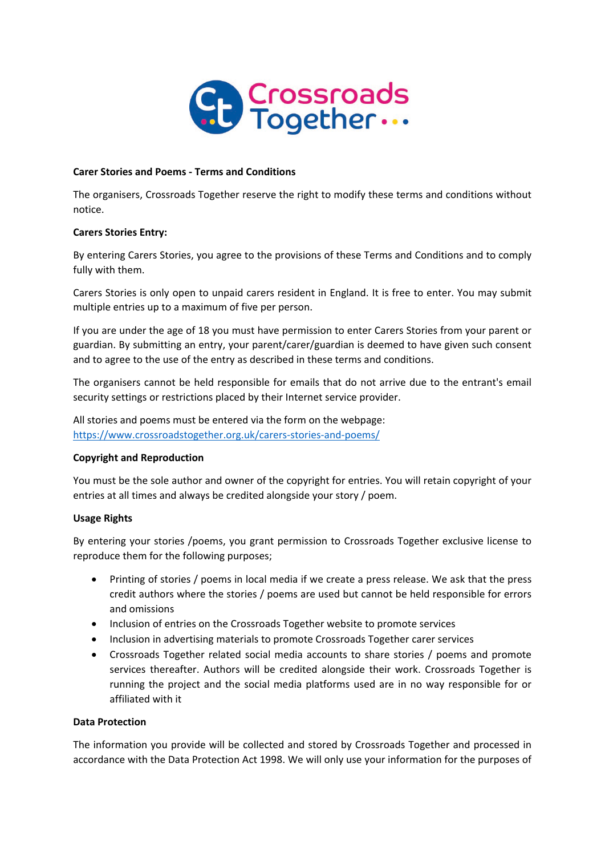

## **Carer Stories and Poems - Terms and Conditions**

The organisers, Crossroads Together reserve the right to modify these terms and conditions without notice.

#### **Carers Stories Entry:**

By entering Carers Stories, you agree to the provisions of these Terms and Conditions and to comply fully with them.

Carers Stories is only open to unpaid carers resident in England. It is free to enter. You may submit multiple entries up to a maximum of five per person.

If you are under the age of 18 you must have permission to enter Carers Stories from your parent or guardian. By submitting an entry, your parent/carer/guardian is deemed to have given such consent and to agree to the use of the entry as described in these terms and conditions.

The organisers cannot be held responsible for emails that do not arrive due to the entrant's email security settings or restrictions placed by their Internet service provider.

All stories and poems must be entered via the form on the webpage: <https://www.crossroadstogether.org.uk/carers-stories-and-poems/>

## **Copyright and Reproduction**

You must be the sole author and owner of the copyright for entries. You will retain copyright of your entries at all times and always be credited alongside your story / poem.

## **Usage Rights**

By entering your stories /poems, you grant permission to Crossroads Together exclusive license to reproduce them for the following purposes;

- Printing of stories / poems in local media if we create a press release. We ask that the press credit authors where the stories / poems are used but cannot be held responsible for errors and omissions
- Inclusion of entries on the Crossroads Together website to promote services
- Inclusion in advertising materials to promote Crossroads Together carer services
- Crossroads Together related social media accounts to share stories / poems and promote services thereafter. Authors will be credited alongside their work. Crossroads Together is running the project and the social media platforms used are in no way responsible for or affiliated with it

#### **Data Protection**

The information you provide will be collected and stored by Crossroads Together and processed in accordance with the Data Protection Act 1998. We will only use your information for the purposes of